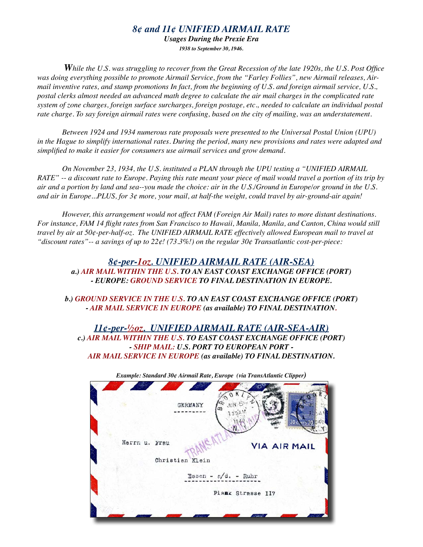## *8¢ and 11¢ UNIFIED AIRMAIL RATE*

*Usages During the Prexie Era 1938 to September 30, 1946.*

*While the U.S. was struggling to recover from the Great Recession of the late 1920s, the U.S. Post Office was doing everything possible to promote Airmail Service, from the "Farley Follies", new Airmail releases, Airmail inventive rates, and stamp promotions In fact, from the beginning of U.S. and foreign airmail service, U.S., postal clerks almost needed an advanced math degree to calculate the air mail charges in the complicated rate system of zone charges, foreign surface surcharges, foreign postage, etc., needed to calculate an individual postal*  rate charge. To say foreign airmail rates were confusing, based on the city of mailing, was an understatement.

*Between 1924 and 1934 numerous rate proposals were presented to the Universal Postal Union (UPU) in the Hague to simplify international rates. During the period, many new provisions and rates were adapted and simplified to make it easier for consumers use airmail services and grow demand.* 

*On November 23, 1934, the U.S. instituted a PLAN through the UPU testing a "UNIFIED AIRMAIL RATE" -- a discount rate to Europe. Paying this rate meant your piece of mail would travel a portion of its trip by air and a portion by land and sea--you made the choice: air in the U.S./Ground in Europe/or ground in the U.S. and air in Europe...PLUS, for 3¢ more, your mail, at half-the weight, could travel by air-ground-air again!* 

*However, this arrangement would not affect FAM (Foreign Air Mail) rates to more distant destinations. For instance, FAM 14 flight rates from San Francisco to Hawaii, Manila, Manila, and Canton, China would still travel by air at 50¢-per-half-oz. The UNIFIED AIRMAIL RATE effectively allowed European mail to travel at "discount rates"-- a savings of up to 22¢! (73.3%!) on the regular 30¢ Transatlantic cost-per-piece:*

## *8¢-per-1oz. UNIFIED AIRMAIL RATE (AIR-SEA) a.) AIR MAIL WITHIN THE U.S. TO AN EAST COAST EXCHANGE OFFICE (PORT) - EUROPE: GROUND SERVICE TO FINAL DESTINATION IN EUROPE.*

*b.) GROUND SERVICE IN THE U.S. TO AN EAST COAST EXCHANGE OFFICE (PORT) - AIR MAIL SERVICE IN EUROPE (as available) TO FINAL DESTINATION.*

*11¢-per-½oz. UNIFIED AIRMAIL RATE (AIR-SEA-AIR) c.) AIR MAIL WITHIN THE U.S. TO EAST COAST EXCHANGE OFFICE (PORT) - SHIP MAIL: U.S. PORT TO EUROPEAN PORT - AIR MAIL SERVICE IN EUROPE (as available) TO FINAL DESTINATION.*

| Example: Standard 30¢ Airmail Rate, Europe (via TransAtlantic Clipper) |
|------------------------------------------------------------------------|
| GERMANY                                                                |
| Herrn u. Frau<br><b>VIA AIR MAIL</b><br>Christian Klein                |
| Essen - $r/d = Ruhr$                                                   |
| Plank Strasse 117                                                      |
|                                                                        |